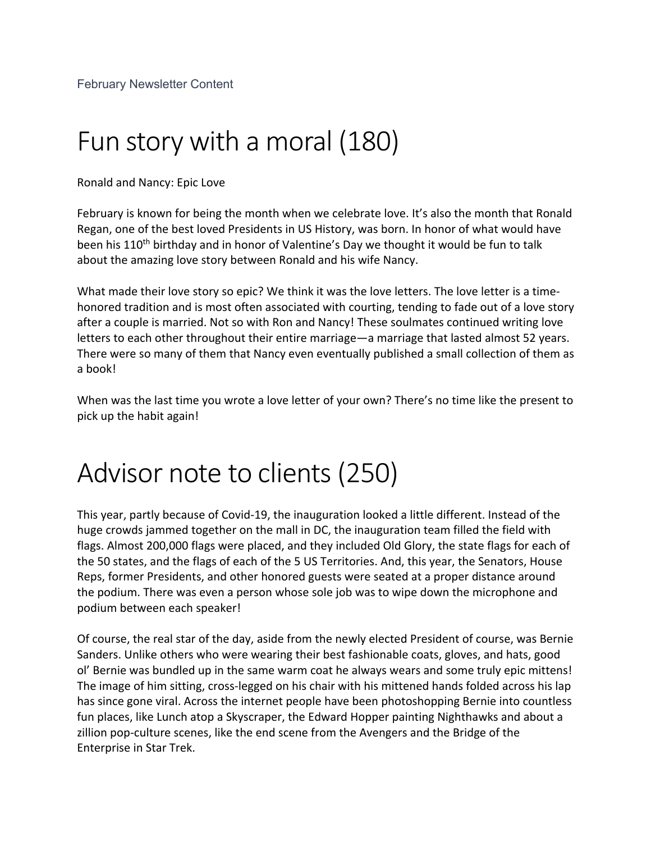## Fun story with a moral (180)

Ronald and Nancy: Epic Love

February is known for being the month when we celebrate love. It's also the month that Ronald Regan, one of the best loved Presidents in US History, was born. In honor of what would have been his 110<sup>th</sup> birthday and in honor of Valentine's Day we thought it would be fun to talk about the amazing love story between Ronald and his wife Nancy.

What made their love story so epic? We think it was the love letters. The love letter is a timehonored tradition and is most often associated with courting, tending to fade out of a love story after a couple is married. Not so with Ron and Nancy! These soulmates continued writing love letters to each other throughout their entire marriage—a marriage that lasted almost 52 years. There were so many of them that Nancy even eventually published a small collection of them as a book!

When was the last time you wrote a love letter of your own? There's no time like the present to pick up the habit again!

## Advisor note to clients (250)

This year, partly because of Covid-19, the inauguration looked a little different. Instead of the huge crowds jammed together on the mall in DC, the inauguration team filled the field with flags. Almost 200,000 flags were placed, and they included Old Glory, the state flags for each of the 50 states, and the flags of each of the 5 US Territories. And, this year, the Senators, House Reps, former Presidents, and other honored guests were seated at a proper distance around the podium. There was even a person whose sole job was to wipe down the microphone and podium between each speaker!

Of course, the real star of the day, aside from the newly elected President of course, was Bernie Sanders. Unlike others who were wearing their best fashionable coats, gloves, and hats, good ol' Bernie was bundled up in the same warm coat he always wears and some truly epic mittens! The image of him sitting, cross-legged on his chair with his mittened hands folded across his lap has since gone viral. Across the internet people have been photoshopping Bernie into countless fun places, like Lunch atop a Skyscraper, the Edward Hopper painting Nighthawks and about a zillion pop-culture scenes, like the end scene from the Avengers and the Bridge of the Enterprise in Star Trek.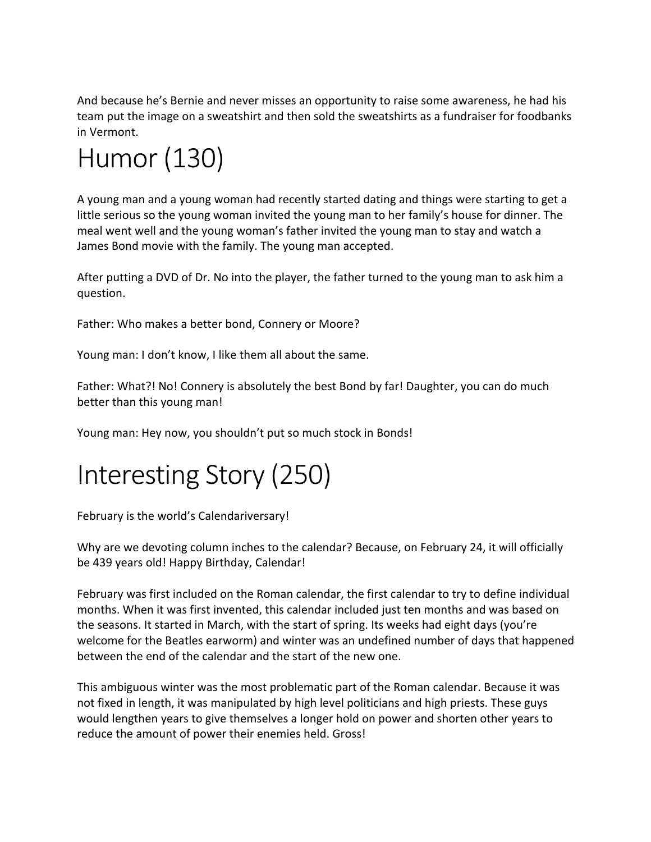And because he's Bernie and never misses an opportunity to raise some awareness, he had his team put the image on a sweatshirt and then sold the sweatshirts as a fundraiser for foodbanks in Vermont.

# Humor (130)

A young man and a young woman had recently started dating and things were starting to get a little serious so the young woman invited the young man to her family's house for dinner. The meal went well and the young woman's father invited the young man to stay and watch a James Bond movie with the family. The young man accepted.

After putting a DVD of Dr. No into the player, the father turned to the young man to ask him a question.

Father: Who makes a better bond, Connery or Moore?

Young man: I don't know, I like them all about the same.

Father: What?! No! Connery is absolutely the best Bond by far! Daughter, you can do much better than this young man!

Young man: Hey now, you shouldn't put so much stock in Bonds!

# Interesting Story (250)

February is the world's Calendariversary!

Why are we devoting column inches to the calendar? Because, on February 24, it will officially be 439 years old! Happy Birthday, Calendar!

February was first included on the Roman calendar, the first calendar to try to define individual months. When it was first invented, this calendar included just ten months and was based on the seasons. It started in March, with the start of spring. Its weeks had eight days (you're welcome for the Beatles earworm) and winter was an undefined number of days that happened between the end of the calendar and the start of the new one.

This ambiguous winter was the most problematic part of the Roman calendar. Because it was not fixed in length, it was manipulated by high level politicians and high priests. These guys would lengthen years to give themselves a longer hold on power and shorten other years to reduce the amount of power their enemies held. Gross!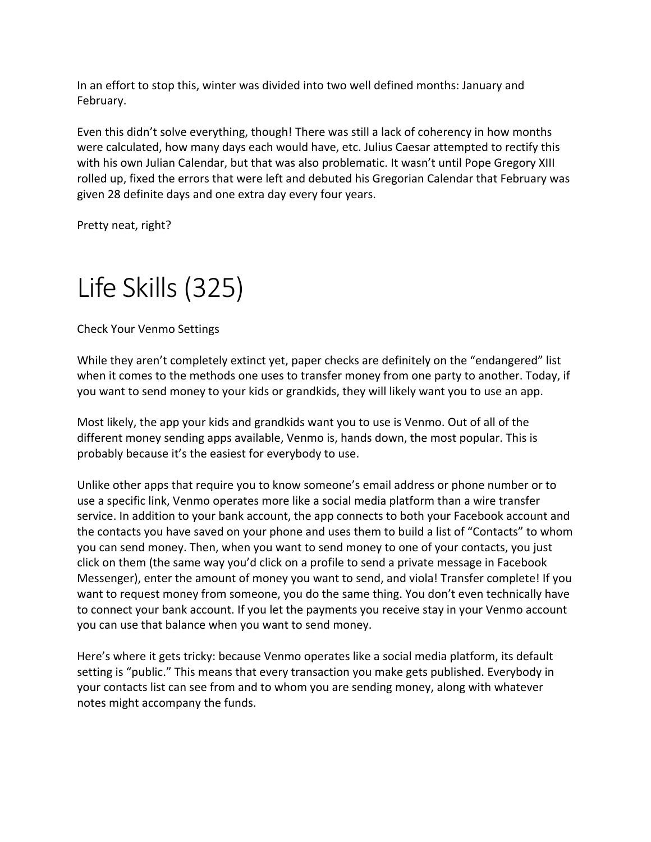In an effort to stop this, winter was divided into two well defined months: January and February.

Even this didn't solve everything, though! There was still a lack of coherency in how months were calculated, how many days each would have, etc. Julius Caesar attempted to rectify this with his own Julian Calendar, but that was also problematic. It wasn't until Pope Gregory XIII rolled up, fixed the errors that were left and debuted his Gregorian Calendar that February was given 28 definite days and one extra day every four years.

Pretty neat, right?

## Life Skills (325)

Check Your Venmo Settings

While they aren't completely extinct yet, paper checks are definitely on the "endangered" list when it comes to the methods one uses to transfer money from one party to another. Today, if you want to send money to your kids or grandkids, they will likely want you to use an app.

Most likely, the app your kids and grandkids want you to use is Venmo. Out of all of the different money sending apps available, Venmo is, hands down, the most popular. This is probably because it's the easiest for everybody to use.

Unlike other apps that require you to know someone's email address or phone number or to use a specific link, Venmo operates more like a social media platform than a wire transfer service. In addition to your bank account, the app connects to both your Facebook account and the contacts you have saved on your phone and uses them to build a list of "Contacts" to whom you can send money. Then, when you want to send money to one of your contacts, you just click on them (the same way you'd click on a profile to send a private message in Facebook Messenger), enter the amount of money you want to send, and viola! Transfer complete! If you want to request money from someone, you do the same thing. You don't even technically have to connect your bank account. If you let the payments you receive stay in your Venmo account you can use that balance when you want to send money.

Here's where it gets tricky: because Venmo operates like a social media platform, its default setting is "public." This means that every transaction you make gets published. Everybody in your contacts list can see from and to whom you are sending money, along with whatever notes might accompany the funds.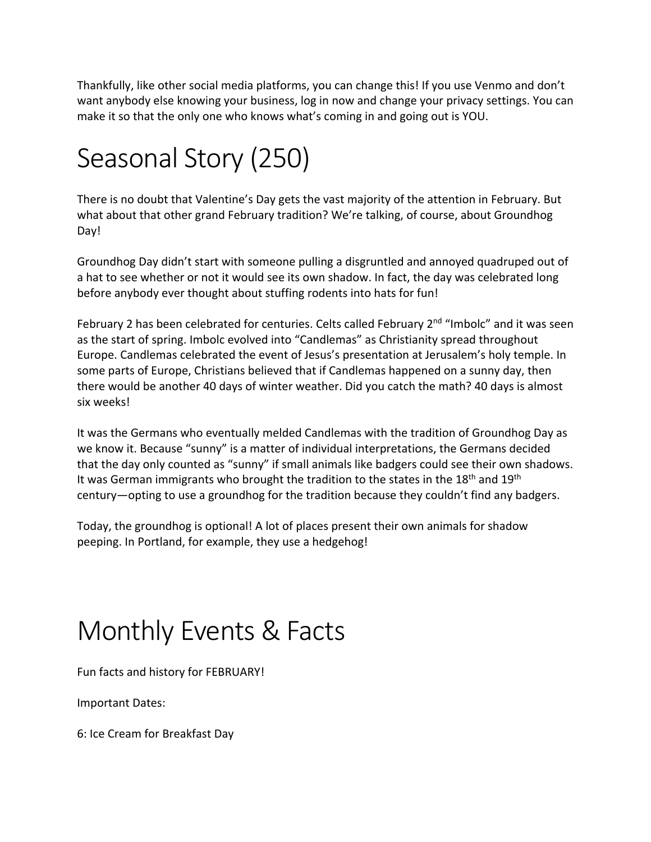Thankfully, like other social media platforms, you can change this! If you use Venmo and don't want anybody else knowing your business, log in now and change your privacy settings. You can make it so that the only one who knows what's coming in and going out is YOU.

# Seasonal Story (250)

There is no doubt that Valentine's Day gets the vast majority of the attention in February. But what about that other grand February tradition? We're talking, of course, about Groundhog Day!

Groundhog Day didn't start with someone pulling a disgruntled and annoyed quadruped out of a hat to see whether or not it would see its own shadow. In fact, the day was celebrated long before anybody ever thought about stuffing rodents into hats for fun!

February 2 has been celebrated for centuries. Celts called February 2<sup>nd</sup> "Imbolc" and it was seen as the start of spring. Imbolc evolved into "Candlemas" as Christianity spread throughout Europe. Candlemas celebrated the event of Jesus's presentation at Jerusalem's holy temple. In some parts of Europe, Christians believed that if Candlemas happened on a sunny day, then there would be another 40 days of winter weather. Did you catch the math? 40 days is almost six weeks!

It was the Germans who eventually melded Candlemas with the tradition of Groundhog Day as we know it. Because "sunny" is a matter of individual interpretations, the Germans decided that the day only counted as "sunny" if small animals like badgers could see their own shadows. It was German immigrants who brought the tradition to the states in the 18<sup>th</sup> and 19<sup>th</sup> century—opting to use a groundhog for the tradition because they couldn't find any badgers.

Today, the groundhog is optional! A lot of places present their own animals for shadow peeping. In Portland, for example, they use a hedgehog!

## Monthly Events & Facts

Fun facts and history for FEBRUARY!

Important Dates:

6: Ice Cream for Breakfast Day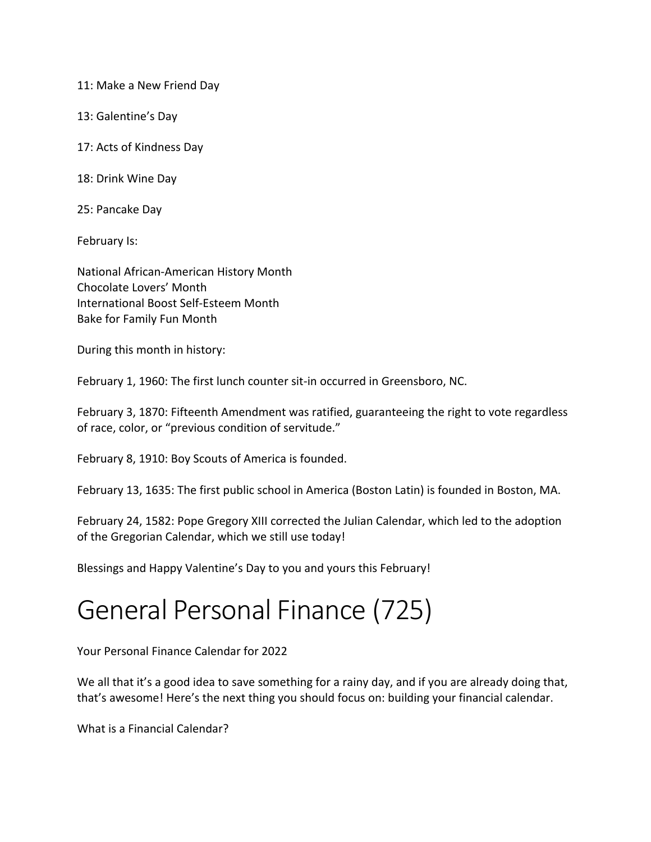11: Make a New Friend Day

13: Galentine's Day

17: Acts of Kindness Day

18: Drink Wine Day

25: Pancake Day

February Is:

National African-American History Month Chocolate Lovers' Month International Boost Self-Esteem Month Bake for Family Fun Month

During this month in history:

February 1, 1960: The first lunch counter sit-in occurred in Greensboro, NC.

February 3, 1870: Fifteenth Amendment was ratified, guaranteeing the right to vote regardless of race, color, or "previous condition of servitude."

February 8, 1910: Boy Scouts of America is founded.

February 13, 1635: The first public school in America (Boston Latin) is founded in Boston, MA.

February 24, 1582: Pope Gregory XIII corrected the Julian Calendar, which led to the adoption of the Gregorian Calendar, which we still use today!

Blessings and Happy Valentine's Day to you and yours this February!

## General Personal Finance (725)

Your Personal Finance Calendar for 2022

We all that it's a good idea to save something for a rainy day, and if you are already doing that, that's awesome! Here's the next thing you should focus on: building your financial calendar.

What is a Financial Calendar?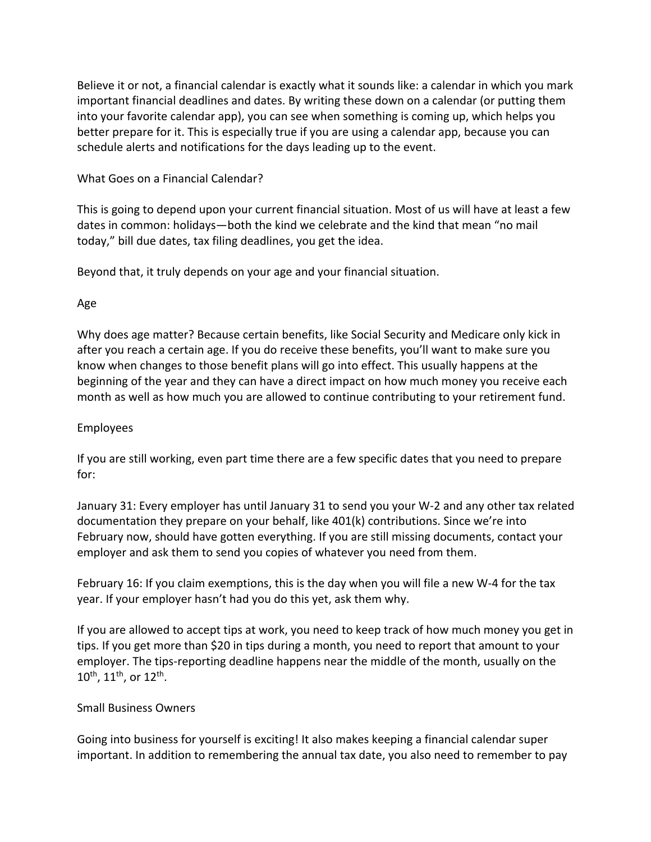Believe it or not, a financial calendar is exactly what it sounds like: a calendar in which you mark important financial deadlines and dates. By writing these down on a calendar (or putting them into your favorite calendar app), you can see when something is coming up, which helps you better prepare for it. This is especially true if you are using a calendar app, because you can schedule alerts and notifications for the days leading up to the event.

#### What Goes on a Financial Calendar?

This is going to depend upon your current financial situation. Most of us will have at least a few dates in common: holidays—both the kind we celebrate and the kind that mean "no mail today," bill due dates, tax filing deadlines, you get the idea.

Beyond that, it truly depends on your age and your financial situation.

### Age

Why does age matter? Because certain benefits, like Social Security and Medicare only kick in after you reach a certain age. If you do receive these benefits, you'll want to make sure you know when changes to those benefit plans will go into effect. This usually happens at the beginning of the year and they can have a direct impact on how much money you receive each month as well as how much you are allowed to continue contributing to your retirement fund.

### Employees

If you are still working, even part time there are a few specific dates that you need to prepare for:

January 31: Every employer has until January 31 to send you your W-2 and any other tax related documentation they prepare on your behalf, like 401(k) contributions. Since we're into February now, should have gotten everything. If you are still missing documents, contact your employer and ask them to send you copies of whatever you need from them.

February 16: If you claim exemptions, this is the day when you will file a new W-4 for the tax year. If your employer hasn't had you do this yet, ask them why.

If you are allowed to accept tips at work, you need to keep track of how much money you get in tips. If you get more than \$20 in tips during a month, you need to report that amount to your employer. The tips-reporting deadline happens near the middle of the month, usually on the  $10^{th}$ ,  $11^{th}$ , or  $12^{th}$ .

#### Small Business Owners

Going into business for yourself is exciting! It also makes keeping a financial calendar super important. In addition to remembering the annual tax date, you also need to remember to pay